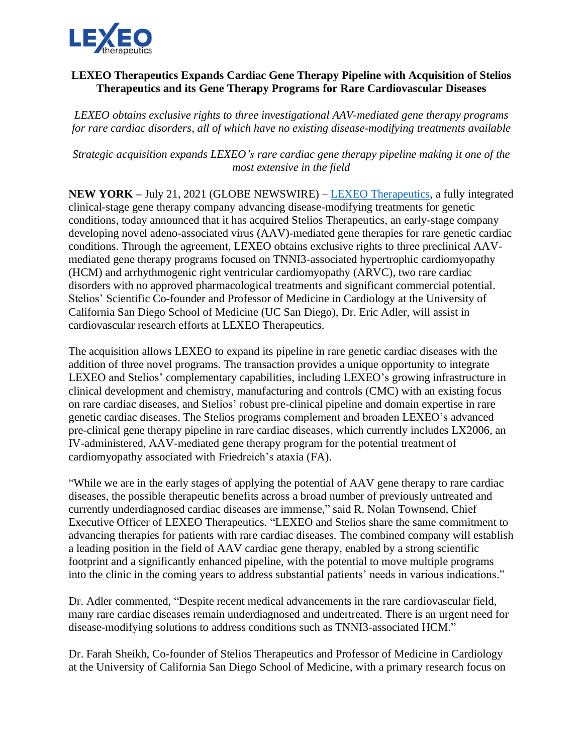

## **LEXEO Therapeutics Expands Cardiac Gene Therapy Pipeline with Acquisition of Stelios Therapeutics and its Gene Therapy Programs for Rare Cardiovascular Diseases**

*LEXEO obtains exclusive rights to three investigational AAV-mediated gene therapy programs for rare cardiac disorders, all of which have no existing disease-modifying treatments available* 

*Strategic acquisition expands LEXEO's rare cardiac gene therapy pipeline making it one of the most extensive in the field*

**NEW YORK –** July 21, 2021 (GLOBE NEWSWIRE) – [LEXEO Therapeutics,](https://www.lexeotx.com/) a fully integrated clinical-stage gene therapy company advancing disease-modifying treatments for genetic conditions, today announced that it has acquired Stelios Therapeutics, an early-stage company developing novel adeno-associated virus (AAV)-mediated gene therapies for rare genetic cardiac conditions. Through the agreement, LEXEO obtains exclusive rights to three preclinical AAVmediated gene therapy programs focused on TNNI3-associated hypertrophic cardiomyopathy (HCM) and arrhythmogenic right ventricular cardiomyopathy (ARVC), two rare cardiac disorders with no approved pharmacological treatments and significant commercial potential. Stelios' Scientific Co-founder and Professor of Medicine in Cardiology at the University of California San Diego School of Medicine (UC San Diego), Dr. Eric Adler, will assist in cardiovascular research efforts at LEXEO Therapeutics.

The acquisition allows LEXEO to expand its pipeline in rare genetic cardiac diseases with the addition of three novel programs. The transaction provides a unique opportunity to integrate LEXEO and Stelios' complementary capabilities, including LEXEO's growing infrastructure in clinical development and chemistry, manufacturing and controls (CMC) with an existing focus on rare cardiac diseases, and Stelios' robust pre-clinical pipeline and domain expertise in rare genetic cardiac diseases. The Stelios programs complement and broaden LEXEO's advanced pre-clinical gene therapy pipeline in rare cardiac diseases, which currently includes LX2006, an IV-administered, AAV-mediated gene therapy program for the potential treatment of cardiomyopathy associated with Friedreich's ataxia (FA).

"While we are in the early stages of applying the potential of AAV gene therapy to rare cardiac diseases, the possible therapeutic benefits across a broad number of previously untreated and currently underdiagnosed cardiac diseases are immense," said R. Nolan Townsend, Chief Executive Officer of LEXEO Therapeutics. "LEXEO and Stelios share the same commitment to advancing therapies for patients with rare cardiac diseases. The combined company will establish a leading position in the field of AAV cardiac gene therapy, enabled by a strong scientific footprint and a significantly enhanced pipeline, with the potential to move multiple programs into the clinic in the coming years to address substantial patients' needs in various indications."

Dr. Adler commented, "Despite recent medical advancements in the rare cardiovascular field, many rare cardiac diseases remain underdiagnosed and undertreated. There is an urgent need for disease-modifying solutions to address conditions such as TNNI3-associated HCM."

Dr. Farah Sheikh, Co-founder of Stelios Therapeutics and Professor of Medicine in Cardiology at the University of California San Diego School of Medicine, with a primary research focus on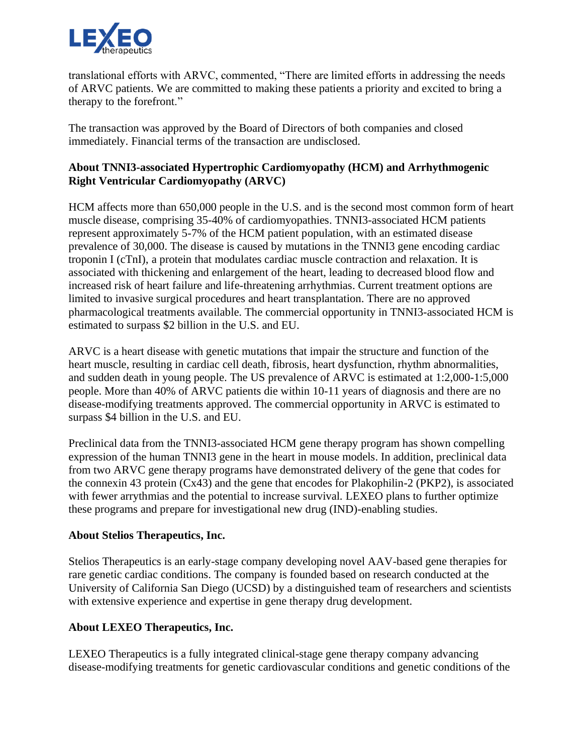

translational efforts with ARVC, commented, "There are limited efforts in addressing the needs of ARVC patients. We are committed to making these patients a priority and excited to bring a therapy to the forefront."

The transaction was approved by the Board of Directors of both companies and closed immediately. Financial terms of the transaction are undisclosed.

## **About TNNI3-associated Hypertrophic Cardiomyopathy (HCM) and Arrhythmogenic Right Ventricular Cardiomyopathy (ARVC)**

HCM affects more than 650,000 people in the U.S. and is the second most common form of heart muscle disease, comprising 35-40% of cardiomyopathies. TNNI3-associated HCM patients represent approximately 5-7% of the HCM patient population, with an estimated disease prevalence of 30,000. The disease is caused by mutations in the TNNI3 gene encoding cardiac troponin I (cTnI), a protein that modulates cardiac muscle contraction and relaxation. It is associated with thickening and enlargement of the heart, leading to decreased blood flow and increased risk of heart failure and life-threatening arrhythmias. Current treatment options are limited to invasive surgical procedures and heart transplantation. There are no approved pharmacological treatments available. The commercial opportunity in TNNI3-associated HCM is estimated to surpass \$2 billion in the U.S. and EU.

ARVC is a heart disease with genetic mutations that impair the structure and function of the heart muscle, resulting in cardiac cell death, fibrosis, heart dysfunction, rhythm abnormalities, and sudden death in young people. The US prevalence of ARVC is estimated at 1:2,000-1:5,000 people. More than 40% of ARVC patients die within 10-11 years of diagnosis and there are no disease-modifying treatments approved. The commercial opportunity in ARVC is estimated to surpass \$4 billion in the U.S. and EU.

Preclinical data from the TNNI3-associated HCM gene therapy program has shown compelling expression of the human TNNI3 gene in the heart in mouse models. In addition, preclinical data from two ARVC gene therapy programs have demonstrated delivery of the gene that codes for the connexin 43 protein (Cx43) and the gene that encodes for Plakophilin-2 (PKP2), is associated with fewer arrythmias and the potential to increase survival. LEXEO plans to further optimize these programs and prepare for investigational new drug (IND)-enabling studies.

## **About Stelios Therapeutics, Inc.**

Stelios Therapeutics is an early-stage company developing novel AAV-based gene therapies for rare genetic cardiac conditions. The company is founded based on research conducted at the University of California San Diego (UCSD) by a distinguished team of researchers and scientists with extensive experience and expertise in gene therapy drug development.

## **About LEXEO Therapeutics, Inc.**

LEXEO Therapeutics is a fully integrated clinical-stage gene therapy company advancing disease-modifying treatments for genetic cardiovascular conditions and genetic conditions of the